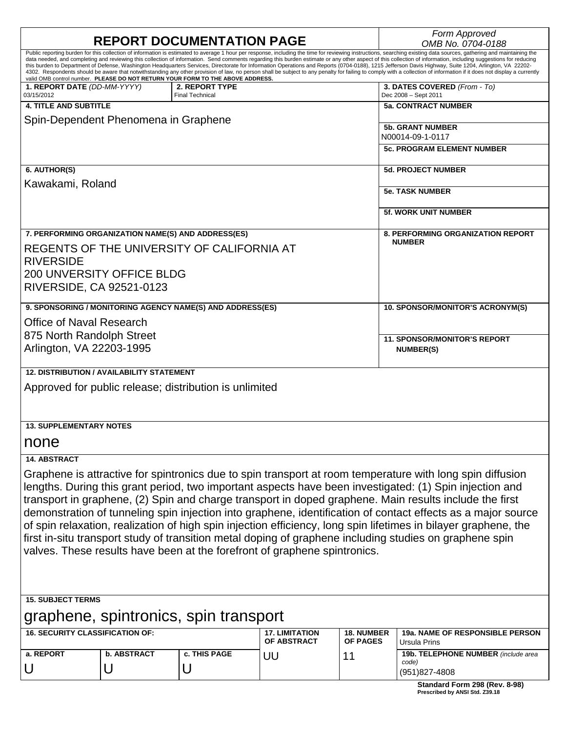| <b>REPORT DOCUMENTATION PAGE</b>                                                                                                                                                                                                                                                                                                                                                                                                                                                                                                                                                                                                                                                                                                                                                                                                                                                                                                                                |                         |                                          |                                      |                                      | Form Approved<br>OMB No. 0704-0188                            |
|-----------------------------------------------------------------------------------------------------------------------------------------------------------------------------------------------------------------------------------------------------------------------------------------------------------------------------------------------------------------------------------------------------------------------------------------------------------------------------------------------------------------------------------------------------------------------------------------------------------------------------------------------------------------------------------------------------------------------------------------------------------------------------------------------------------------------------------------------------------------------------------------------------------------------------------------------------------------|-------------------------|------------------------------------------|--------------------------------------|--------------------------------------|---------------------------------------------------------------|
| Public reporting burden for this collection of information is estimated to average 1 hour per response, including the time for reviewing instructions, searching existing data sources, gathering and maintaining the<br>data needed, and completing and reviewing this collection of information. Send comments regarding this burden estimate or any other aspect of this collection of information, including suggestions for reducing<br>this burden to Department of Defense, Washington Headquarters Services, Directorate for Information Operations and Reports (0704-0188), 1215 Jefferson Davis Highway, Suite 1204, Arlington, VA 22202-<br>4302. Respondents should be aware that notwithstanding any other provision of law, no person shall be subject to any penalty for failing to comply with a collection of information if it does not display a currently<br>valid OMB control number. PLEASE DO NOT RETURN YOUR FORM TO THE ABOVE ADDRESS. |                         |                                          |                                      |                                      |                                                               |
| 1. REPORT DATE (DD-MM-YYYY)<br>03/15/2012                                                                                                                                                                                                                                                                                                                                                                                                                                                                                                                                                                                                                                                                                                                                                                                                                                                                                                                       |                         | 2. REPORT TYPE<br><b>Final Technical</b> |                                      |                                      | 3. DATES COVERED (From - To)<br>Dec 2008 - Sept 2011          |
| <b>4. TITLE AND SUBTITLE</b>                                                                                                                                                                                                                                                                                                                                                                                                                                                                                                                                                                                                                                                                                                                                                                                                                                                                                                                                    |                         |                                          |                                      |                                      | <b>5a. CONTRACT NUMBER</b>                                    |
| Spin-Dependent Phenomena in Graphene                                                                                                                                                                                                                                                                                                                                                                                                                                                                                                                                                                                                                                                                                                                                                                                                                                                                                                                            |                         |                                          |                                      |                                      | <b>5b. GRANT NUMBER</b><br>N00014-09-1-0117                   |
|                                                                                                                                                                                                                                                                                                                                                                                                                                                                                                                                                                                                                                                                                                                                                                                                                                                                                                                                                                 |                         |                                          |                                      |                                      | <b>5c. PROGRAM ELEMENT NUMBER</b>                             |
| 6. AUTHOR(S)                                                                                                                                                                                                                                                                                                                                                                                                                                                                                                                                                                                                                                                                                                                                                                                                                                                                                                                                                    |                         |                                          |                                      |                                      | <b>5d. PROJECT NUMBER</b>                                     |
| Kawakami, Roland                                                                                                                                                                                                                                                                                                                                                                                                                                                                                                                                                                                                                                                                                                                                                                                                                                                                                                                                                |                         |                                          |                                      |                                      | <b>5e. TASK NUMBER</b>                                        |
|                                                                                                                                                                                                                                                                                                                                                                                                                                                                                                                                                                                                                                                                                                                                                                                                                                                                                                                                                                 |                         |                                          |                                      |                                      | <b>5f. WORK UNIT NUMBER</b>                                   |
| 7. PERFORMING ORGANIZATION NAME(S) AND ADDRESS(ES)<br>REGENTS OF THE UNIVERSITY OF CALIFORNIA AT<br><b>RIVERSIDE</b><br><b>200 UNVERSITY OFFICE BLDG</b><br>RIVERSIDE, CA 92521-0123                                                                                                                                                                                                                                                                                                                                                                                                                                                                                                                                                                                                                                                                                                                                                                            |                         |                                          |                                      |                                      | <b>8. PERFORMING ORGANIZATION REPORT</b><br><b>NUMBER</b>     |
| 9. SPONSORING / MONITORING AGENCY NAME(S) AND ADDRESS(ES)                                                                                                                                                                                                                                                                                                                                                                                                                                                                                                                                                                                                                                                                                                                                                                                                                                                                                                       |                         |                                          |                                      |                                      | 10. SPONSOR/MONITOR'S ACRONYM(S)                              |
| <b>Office of Naval Research</b>                                                                                                                                                                                                                                                                                                                                                                                                                                                                                                                                                                                                                                                                                                                                                                                                                                                                                                                                 |                         |                                          |                                      |                                      |                                                               |
| 875 North Randolph Street                                                                                                                                                                                                                                                                                                                                                                                                                                                                                                                                                                                                                                                                                                                                                                                                                                                                                                                                       |                         |                                          |                                      |                                      | <b>11. SPONSOR/MONITOR'S REPORT</b>                           |
| Arlington, VA 22203-1995                                                                                                                                                                                                                                                                                                                                                                                                                                                                                                                                                                                                                                                                                                                                                                                                                                                                                                                                        |                         |                                          |                                      |                                      | <b>NUMBER(S)</b>                                              |
| <b>12. DISTRIBUTION / AVAILABILITY STATEMENT</b>                                                                                                                                                                                                                                                                                                                                                                                                                                                                                                                                                                                                                                                                                                                                                                                                                                                                                                                |                         |                                          |                                      |                                      |                                                               |
| Approved for public release; distribution is unlimited                                                                                                                                                                                                                                                                                                                                                                                                                                                                                                                                                                                                                                                                                                                                                                                                                                                                                                          |                         |                                          |                                      |                                      |                                                               |
| <b>13. SUPPLEMENTARY NOTES</b>                                                                                                                                                                                                                                                                                                                                                                                                                                                                                                                                                                                                                                                                                                                                                                                                                                                                                                                                  |                         |                                          |                                      |                                      |                                                               |
| none                                                                                                                                                                                                                                                                                                                                                                                                                                                                                                                                                                                                                                                                                                                                                                                                                                                                                                                                                            |                         |                                          |                                      |                                      |                                                               |
| 14. ABSTRACT                                                                                                                                                                                                                                                                                                                                                                                                                                                                                                                                                                                                                                                                                                                                                                                                                                                                                                                                                    |                         |                                          |                                      |                                      |                                                               |
| Graphene is attractive for spintronics due to spin transport at room temperature with long spin diffusion<br>lengths. During this grant period, two important aspects have been investigated: (1) Spin injection and<br>transport in graphene, (2) Spin and charge transport in doped graphene. Main results include the first<br>demonstration of tunneling spin injection into graphene, identification of contact effects as a major source<br>of spin relaxation, realization of high spin injection efficiency, long spin lifetimes in bilayer graphene, the<br>first in-situ transport study of transition metal doping of graphene including studies on graphene spin<br>valves. These results have been at the forefront of graphene spintronics.                                                                                                                                                                                                       |                         |                                          |                                      |                                      |                                                               |
| <b>15. SUBJECT TERMS</b>                                                                                                                                                                                                                                                                                                                                                                                                                                                                                                                                                                                                                                                                                                                                                                                                                                                                                                                                        |                         |                                          |                                      |                                      |                                                               |
| graphene, spintronics, spin transport                                                                                                                                                                                                                                                                                                                                                                                                                                                                                                                                                                                                                                                                                                                                                                                                                                                                                                                           |                         |                                          |                                      |                                      |                                                               |
| <b>16. SECURITY CLASSIFICATION OF:</b>                                                                                                                                                                                                                                                                                                                                                                                                                                                                                                                                                                                                                                                                                                                                                                                                                                                                                                                          |                         |                                          | <b>17. LIMITATION</b><br>OF ABSTRACT | <b>18. NUMBER</b><br><b>OF PAGES</b> | 19a. NAME OF RESPONSIBLE PERSON<br>Ursula Prins               |
| a. REPORT<br>U                                                                                                                                                                                                                                                                                                                                                                                                                                                                                                                                                                                                                                                                                                                                                                                                                                                                                                                                                  | <b>b. ABSTRACT</b><br>U | c. THIS PAGE<br>U                        | UU                                   | 11                                   | 19b. TELEPHONE NUMBER (include area<br>code)<br>(951)827-4808 |
|                                                                                                                                                                                                                                                                                                                                                                                                                                                                                                                                                                                                                                                                                                                                                                                                                                                                                                                                                                 |                         |                                          |                                      |                                      | Standard Form 298 (Rev. 8-98)                                 |

**Standard Form 298 (Rev. 8-98)**<br>Prescribed by ANSI Std. Z39.18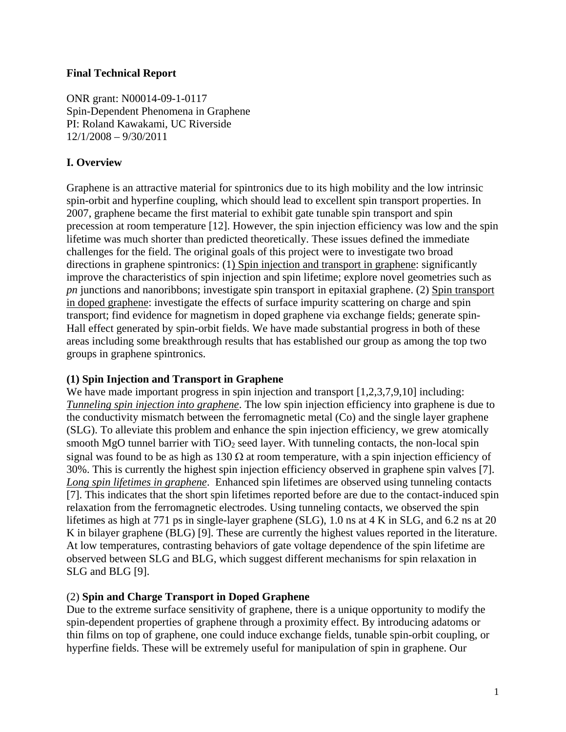#### **Final Technical Report**

ONR grant: N00014-09-1-0117 Spin-Dependent Phenomena in Graphene PI: Roland Kawakami, UC Riverside 12/1/2008 – 9/30/2011

## **I. Overview**

Graphene is an attractive material for spintronics due to its high mobility and the low intrinsic spin-orbit and hyperfine coupling, which should lead to excellent spin transport properties. In 2007, graphene became the first material to exhibit gate tunable spin transport and spin precession at room temperature [12]. However, the spin injection efficiency was low and the spin lifetime was much shorter than predicted theoretically. These issues defined the immediate challenges for the field. The original goals of this project were to investigate two broad directions in graphene spintronics: (1) Spin injection and transport in graphene: significantly improve the characteristics of spin injection and spin lifetime; explore novel geometries such as *pn* junctions and nanoribbons; investigate spin transport in epitaxial graphene. (2) Spin transport in doped graphene: investigate the effects of surface impurity scattering on charge and spin transport; find evidence for magnetism in doped graphene via exchange fields; generate spin-Hall effect generated by spin-orbit fields. We have made substantial progress in both of these areas including some breakthrough results that has established our group as among the top two groups in graphene spintronics.

### **(1) Spin Injection and Transport in Graphene**

We have made important progress in spin injection and transport [1,2,3,7,9,10] including: *Tunneling spin injection into graphene*. The low spin injection efficiency into graphene is due to the conductivity mismatch between the ferromagnetic metal (Co) and the single layer graphene (SLG). To alleviate this problem and enhance the spin injection efficiency, we grew atomically smooth MgO tunnel barrier with  $TiO<sub>2</sub>$  seed layer. With tunneling contacts, the non-local spin signal was found to be as high as  $130 \Omega$  at room temperature, with a spin injection efficiency of 30%. This is currently the highest spin injection efficiency observed in graphene spin valves [7]. *Long spin lifetimes in graphene*. Enhanced spin lifetimes are observed using tunneling contacts [7]. This indicates that the short spin lifetimes reported before are due to the contact-induced spin relaxation from the ferromagnetic electrodes. Using tunneling contacts, we observed the spin lifetimes as high at 771 ps in single-layer graphene (SLG), 1.0 ns at 4 K in SLG, and 6.2 ns at 20 K in bilayer graphene (BLG) [9]. These are currently the highest values reported in the literature. At low temperatures, contrasting behaviors of gate voltage dependence of the spin lifetime are observed between SLG and BLG, which suggest different mechanisms for spin relaxation in SLG and BLG [9].

### (2) **Spin and Charge Transport in Doped Graphene**

Due to the extreme surface sensitivity of graphene, there is a unique opportunity to modify the spin-dependent properties of graphene through a proximity effect. By introducing adatoms or thin films on top of graphene, one could induce exchange fields, tunable spin-orbit coupling, or hyperfine fields. These will be extremely useful for manipulation of spin in graphene. Our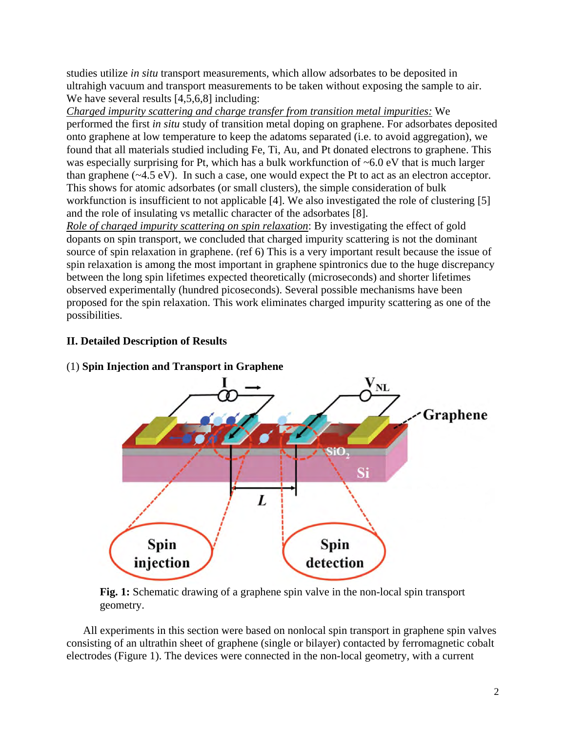studies utilize *in situ* transport measurements, which allow adsorbates to be deposited in ultrahigh vacuum and transport measurements to be taken without exposing the sample to air. We have several results [4,5,6,8] including:

*Charged impurity scattering and charge transfer from transition metal impurities:* We performed the first *in situ* study of transition metal doping on graphene. For adsorbates deposited onto graphene at low temperature to keep the adatoms separated (i.e. to avoid aggregation), we found that all materials studied including Fe, Ti, Au, and Pt donated electrons to graphene. This was especially surprising for Pt, which has a bulk workfunction of ~6.0 eV that is much larger than graphene (~4.5 eV). In such a case, one would expect the Pt to act as an electron acceptor. This shows for atomic adsorbates (or small clusters), the simple consideration of bulk workfunction is insufficient to not applicable [4]. We also investigated the role of clustering [5] and the role of insulating vs metallic character of the adsorbates [8].

*Role of charged impurity scattering on spin relaxation*: By investigating the effect of gold dopants on spin transport, we concluded that charged impurity scattering is not the dominant source of spin relaxation in graphene. (ref 6) This is a very important result because the issue of spin relaxation is among the most important in graphene spintronics due to the huge discrepancy between the long spin lifetimes expected theoretically (microseconds) and shorter lifetimes observed experimentally (hundred picoseconds). Several possible mechanisms have been proposed for the spin relaxation. This work eliminates charged impurity scattering as one of the possibilities.

# **II. Detailed Description of Results**



(1) **Spin Injection and Transport in Graphene** 

**Fig. 1:** Schematic drawing of a graphene spin valve in the non-local spin transport geometry.

All experiments in this section were based on nonlocal spin transport in graphene spin valves consisting of an ultrathin sheet of graphene (single or bilayer) contacted by ferromagnetic cobalt electrodes (Figure 1). The devices were connected in the non-local geometry, with a current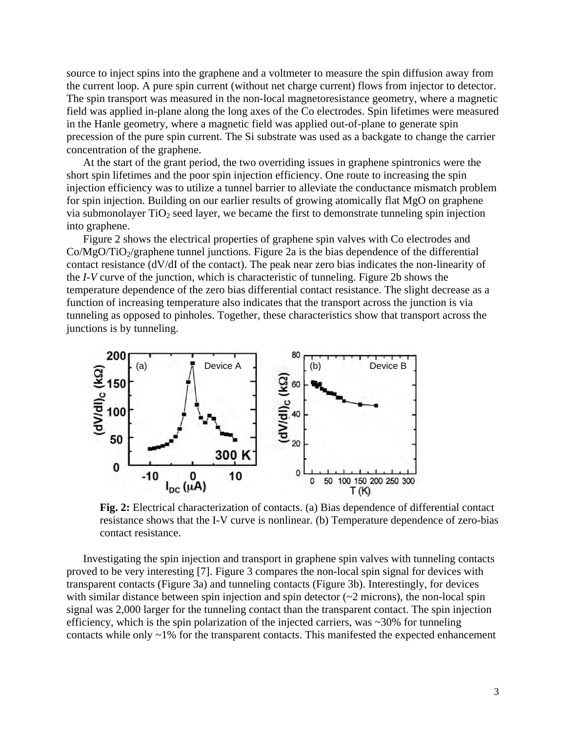source to inject spins into the graphene and a voltmeter to measure the spin diffusion away from the current loop. A pure spin current (without net charge current) flows from injector to detector. The spin transport was measured in the non-local magnetoresistance geometry, where a magnetic field was applied in-plane along the long axes of the Co electrodes. Spin lifetimes were measured in the Hanle geometry, where a magnetic field was applied out-of-plane to generate spin precession of the pure spin current. The Si substrate was used as a backgate to change the carrier concentration of the graphene.

At the start of the grant period, the two overriding issues in graphene spintronics were the short spin lifetimes and the poor spin injection efficiency. One route to increasing the spin injection efficiency was to utilize a tunnel barrier to alleviate the conductance mismatch problem for spin injection. Building on our earlier results of growing atomically flat MgO on graphene via submonolayer  $TiO<sub>2</sub>$  seed layer, we became the first to demonstrate tunneling spin injection into graphene.

Figure 2 shows the electrical properties of graphene spin valves with Co electrodes and  $Co/MgO/TiO_2$ /graphene tunnel junctions. Figure 2a is the bias dependence of the differential contact resistance (dV/dI of the contact). The peak near zero bias indicates the non-linearity of the *I-V* curve of the junction, which is characteristic of tunneling. Figure 2b shows the temperature dependence of the zero bias differential contact resistance. The slight decrease as a function of increasing temperature also indicates that the transport across the junction is via tunneling as opposed to pinholes. Together, these characteristics show that transport across the junctions is by tunneling.



**Fig. 2:** Electrical characterization of contacts. (a) Bias dependence of differential contact resistance shows that the I-V curve is nonlinear. (b) Temperature dependence of zero-bias contact resistance.

Investigating the spin injection and transport in graphene spin valves with tunneling contacts proved to be very interesting [7]. Figure 3 compares the non-local spin signal for devices with transparent contacts (Figure 3a) and tunneling contacts (Figure 3b). Interestingly, for devices with similar distance between spin injection and spin detector  $(\sim 2 \text{ microns})$ , the non-local spin signal was 2,000 larger for the tunneling contact than the transparent contact. The spin injection efficiency, which is the spin polarization of the injected carriers, was ~30% for tunneling contacts while only ~1% for the transparent contacts. This manifested the expected enhancement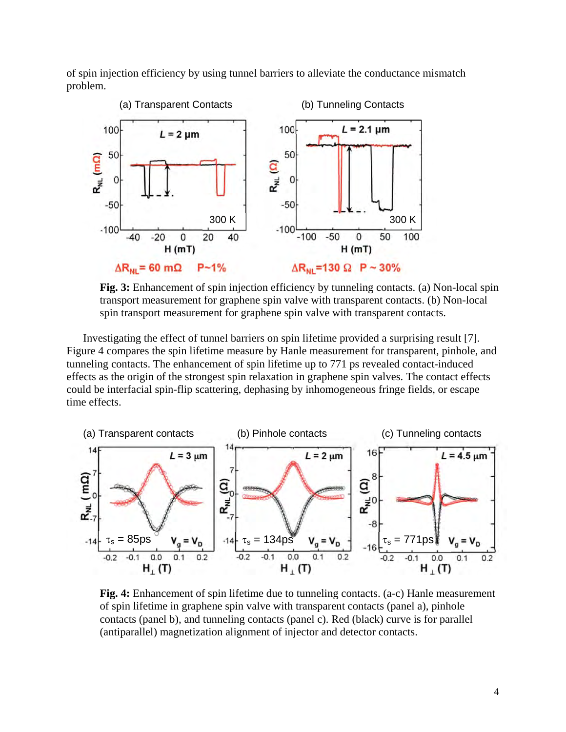of spin injection efficiency by using tunnel barriers to alleviate the conductance mismatch problem.



**Fig. 3:** Enhancement of spin injection efficiency by tunneling contacts. (a) Non-local spin transport measurement for graphene spin valve with transparent contacts. (b) Non-local spin transport measurement for graphene spin valve with transparent contacts.

Investigating the effect of tunnel barriers on spin lifetime provided a surprising result [7]. Figure 4 compares the spin lifetime measure by Hanle measurement for transparent, pinhole, and tunneling contacts. The enhancement of spin lifetime up to 771 ps revealed contact-induced effects as the origin of the strongest spin relaxation in graphene spin valves. The contact effects could be interfacial spin-flip scattering, dephasing by inhomogeneous fringe fields, or escape time effects.



**Fig. 4:** Enhancement of spin lifetime due to tunneling contacts. (a-c) Hanle measurement of spin lifetime in graphene spin valve with transparent contacts (panel a), pinhole contacts (panel b), and tunneling contacts (panel c). Red (black) curve is for parallel (antiparallel) magnetization alignment of injector and detector contacts.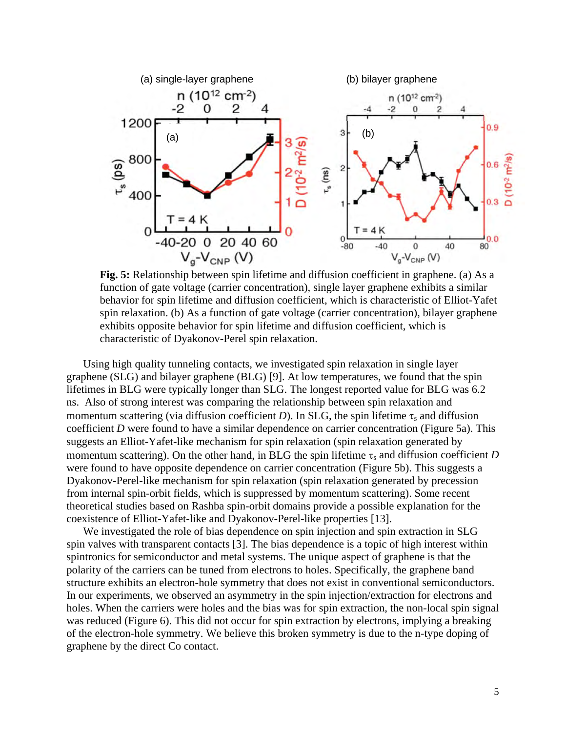

**Fig. 5:** Relationship between spin lifetime and diffusion coefficient in graphene. (a) As a function of gate voltage (carrier concentration), single layer graphene exhibits a similar behavior for spin lifetime and diffusion coefficient, which is characteristic of Elliot-Yafet spin relaxation. (b) As a function of gate voltage (carrier concentration), bilayer graphene exhibits opposite behavior for spin lifetime and diffusion coefficient, which is characteristic of Dyakonov-Perel spin relaxation.

Using high quality tunneling contacts, we investigated spin relaxation in single layer graphene (SLG) and bilayer graphene (BLG) [9]. At low temperatures, we found that the spin lifetimes in BLG were typically longer than SLG. The longest reported value for BLG was 6.2 ns. Also of strong interest was comparing the relationship between spin relaxation and momentum scattering (via diffusion coefficient *D*). In SLG, the spin lifetime  $\tau_s$  and diffusion coefficient *D* were found to have a similar dependence on carrier concentration (Figure 5a). This suggests an Elliot-Yafet-like mechanism for spin relaxation (spin relaxation generated by momentum scattering). On the other hand, in BLG the spin lifetime  $\tau_s$  and diffusion coefficient *D* were found to have opposite dependence on carrier concentration (Figure 5b). This suggests a Dyakonov-Perel-like mechanism for spin relaxation (spin relaxation generated by precession from internal spin-orbit fields, which is suppressed by momentum scattering). Some recent theoretical studies based on Rashba spin-orbit domains provide a possible explanation for the coexistence of Elliot-Yafet-like and Dyakonov-Perel-like properties [13].

We investigated the role of bias dependence on spin injection and spin extraction in SLG spin valves with transparent contacts [3]. The bias dependence is a topic of high interest within spintronics for semiconductor and metal systems. The unique aspect of graphene is that the polarity of the carriers can be tuned from electrons to holes. Specifically, the graphene band structure exhibits an electron-hole symmetry that does not exist in conventional semiconductors. In our experiments, we observed an asymmetry in the spin injection/extraction for electrons and holes. When the carriers were holes and the bias was for spin extraction, the non-local spin signal was reduced (Figure 6). This did not occur for spin extraction by electrons, implying a breaking of the electron-hole symmetry. We believe this broken symmetry is due to the n-type doping of graphene by the direct Co contact.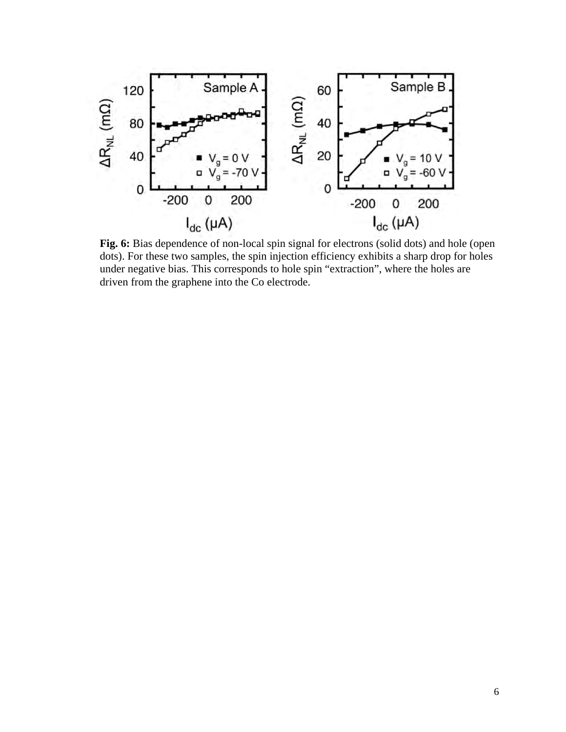

**Fig. 6:** Bias dependence of non-local spin signal for electrons (solid dots) and hole (open dots). For these two samples, the spin injection efficiency exhibits a sharp drop for holes under negative bias. This corresponds to hole spin "extraction", where the holes are driven from the graphene into the Co electrode.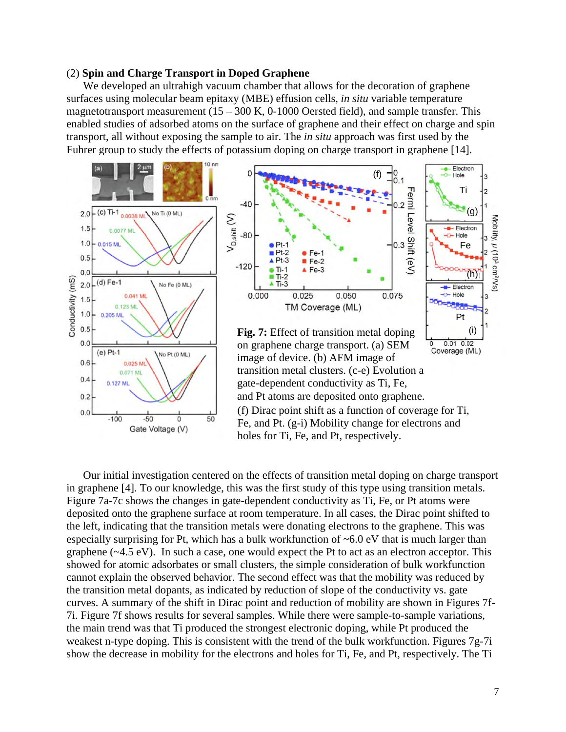#### (2) **Spin and Charge Transport in Doped Graphene**

We developed an ultrahigh vacuum chamber that allows for the decoration of graphene surfaces using molecular beam epitaxy (MBE) effusion cells, *in situ* variable temperature magnetotransport measurement  $(15 - 300 \text{ K}, 0-1000 \text{ Oersted field})$ , and sample transfer. This enabled studies of adsorbed atoms on the surface of graphene and their effect on charge and spin transport, all without exposing the sample to air. The *in situ* approach was first used by the Fuhrer group to study the effects of potassium doping on charge transport in graphene [14].



Our initial investigation centered on the effects of transition metal doping on charge transport in graphene [4]. To our knowledge, this was the first study of this type using transition metals. Figure 7a-7c shows the changes in gate-dependent conductivity as Ti, Fe, or Pt atoms were deposited onto the graphene surface at room temperature. In all cases, the Dirac point shifted to the left, indicating that the transition metals were donating electrons to the graphene. This was especially surprising for Pt, which has a bulk workfunction of  $\sim 6.0 \text{ eV}$  that is much larger than graphene (~4.5 eV). In such a case, one would expect the Pt to act as an electron acceptor. This showed for atomic adsorbates or small clusters, the simple consideration of bulk workfunction cannot explain the observed behavior. The second effect was that the mobility was reduced by the transition metal dopants, as indicated by reduction of slope of the conductivity vs. gate curves. A summary of the shift in Dirac point and reduction of mobility are shown in Figures 7f-7i. Figure 7f shows results for several samples. While there were sample-to-sample variations, the main trend was that Ti produced the strongest electronic doping, while Pt produced the weakest n-type doping. This is consistent with the trend of the bulk workfunction. Figures 7g-7i show the decrease in mobility for the electrons and holes for Ti, Fe, and Pt, respectively. The Ti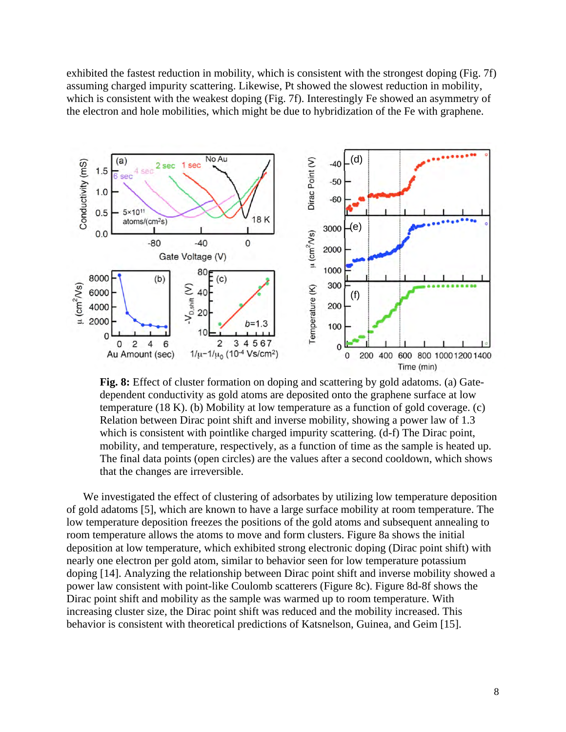exhibited the fastest reduction in mobility, which is consistent with the strongest doping (Fig. 7f) assuming charged impurity scattering. Likewise, Pt showed the slowest reduction in mobility, which is consistent with the weakest doping (Fig. 7f). Interestingly Fe showed an asymmetry of the electron and hole mobilities, which might be due to hybridization of the Fe with graphene.



**Fig. 8:** Effect of cluster formation on doping and scattering by gold adatoms. (a) Gatedependent conductivity as gold atoms are deposited onto the graphene surface at low temperature (18 K). (b) Mobility at low temperature as a function of gold coverage. (c) Relation between Dirac point shift and inverse mobility, showing a power law of 1.3 which is consistent with pointlike charged impurity scattering. (d-f) The Dirac point, mobility, and temperature, respectively, as a function of time as the sample is heated up. The final data points (open circles) are the values after a second cooldown, which shows that the changes are irreversible.

We investigated the effect of clustering of adsorbates by utilizing low temperature deposition of gold adatoms [5], which are known to have a large surface mobility at room temperature. The low temperature deposition freezes the positions of the gold atoms and subsequent annealing to room temperature allows the atoms to move and form clusters. Figure 8a shows the initial deposition at low temperature, which exhibited strong electronic doping (Dirac point shift) with nearly one electron per gold atom, similar to behavior seen for low temperature potassium doping [14]. Analyzing the relationship between Dirac point shift and inverse mobility showed a power law consistent with point-like Coulomb scatterers (Figure 8c). Figure 8d-8f shows the Dirac point shift and mobility as the sample was warmed up to room temperature. With increasing cluster size, the Dirac point shift was reduced and the mobility increased. This behavior is consistent with theoretical predictions of Katsnelson, Guinea, and Geim [15].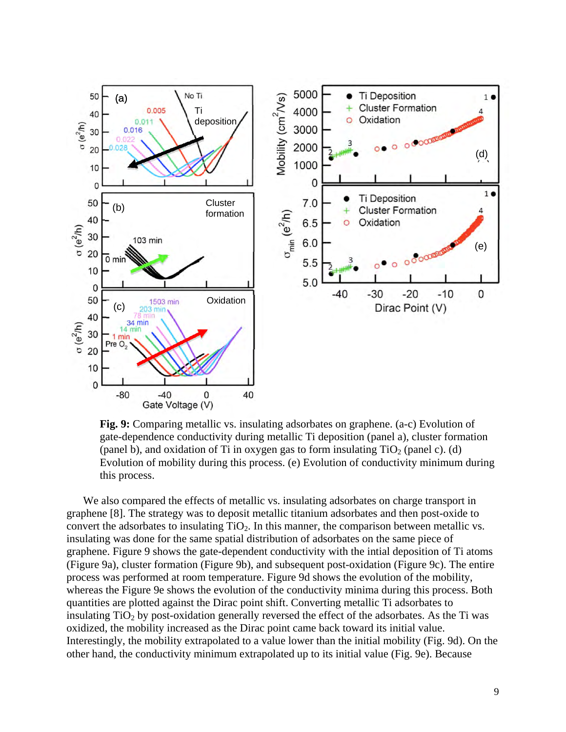

**Fig. 9:** Comparing metallic vs. insulating adsorbates on graphene. (a-c) Evolution of gate-dependence conductivity during metallic Ti deposition (panel a), cluster formation (panel b), and oxidation of Ti in oxygen gas to form insulating  $TiO<sub>2</sub>$  (panel c). (d) Evolution of mobility during this process. (e) Evolution of conductivity minimum during this process.

We also compared the effects of metallic vs. insulating adsorbates on charge transport in graphene [8]. The strategy was to deposit metallic titanium adsorbates and then post-oxide to convert the adsorbates to insulating  $TiO<sub>2</sub>$ . In this manner, the comparison between metallic vs. insulating was done for the same spatial distribution of adsorbates on the same piece of graphene. Figure 9 shows the gate-dependent conductivity with the intial deposition of Ti atoms (Figure 9a), cluster formation (Figure 9b), and subsequent post-oxidation (Figure 9c). The entire process was performed at room temperature. Figure 9d shows the evolution of the mobility, whereas the Figure 9e shows the evolution of the conductivity minima during this process. Both quantities are plotted against the Dirac point shift. Converting metallic Ti adsorbates to insulating  $TiO<sub>2</sub>$  by post-oxidation generally reversed the effect of the adsorbates. As the Ti was oxidized, the mobility increased as the Dirac point came back toward its initial value. Interestingly, the mobility extrapolated to a value lower than the initial mobility (Fig. 9d). On the other hand, the conductivity minimum extrapolated up to its initial value (Fig. 9e). Because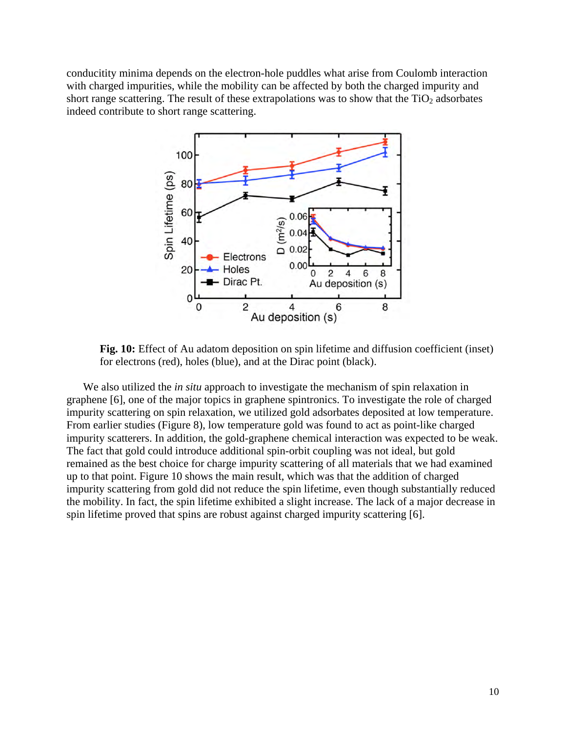conducitity minima depends on the electron-hole puddles what arise from Coulomb interaction with charged impurities, while the mobility can be affected by both the charged impurity and short range scattering. The result of these extrapolations was to show that the  $TiO<sub>2</sub>$  adsorbates indeed contribute to short range scattering.



**Fig. 10:** Effect of Au adatom deposition on spin lifetime and diffusion coefficient (inset) for electrons (red), holes (blue), and at the Dirac point (black).

We also utilized the *in situ* approach to investigate the mechanism of spin relaxation in graphene [6], one of the major topics in graphene spintronics. To investigate the role of charged impurity scattering on spin relaxation, we utilized gold adsorbates deposited at low temperature. From earlier studies (Figure 8), low temperature gold was found to act as point-like charged impurity scatterers. In addition, the gold-graphene chemical interaction was expected to be weak. The fact that gold could introduce additional spin-orbit coupling was not ideal, but gold remained as the best choice for charge impurity scattering of all materials that we had examined up to that point. Figure 10 shows the main result, which was that the addition of charged impurity scattering from gold did not reduce the spin lifetime, even though substantially reduced the mobility. In fact, the spin lifetime exhibited a slight increase. The lack of a major decrease in spin lifetime proved that spins are robust against charged impurity scattering [6].